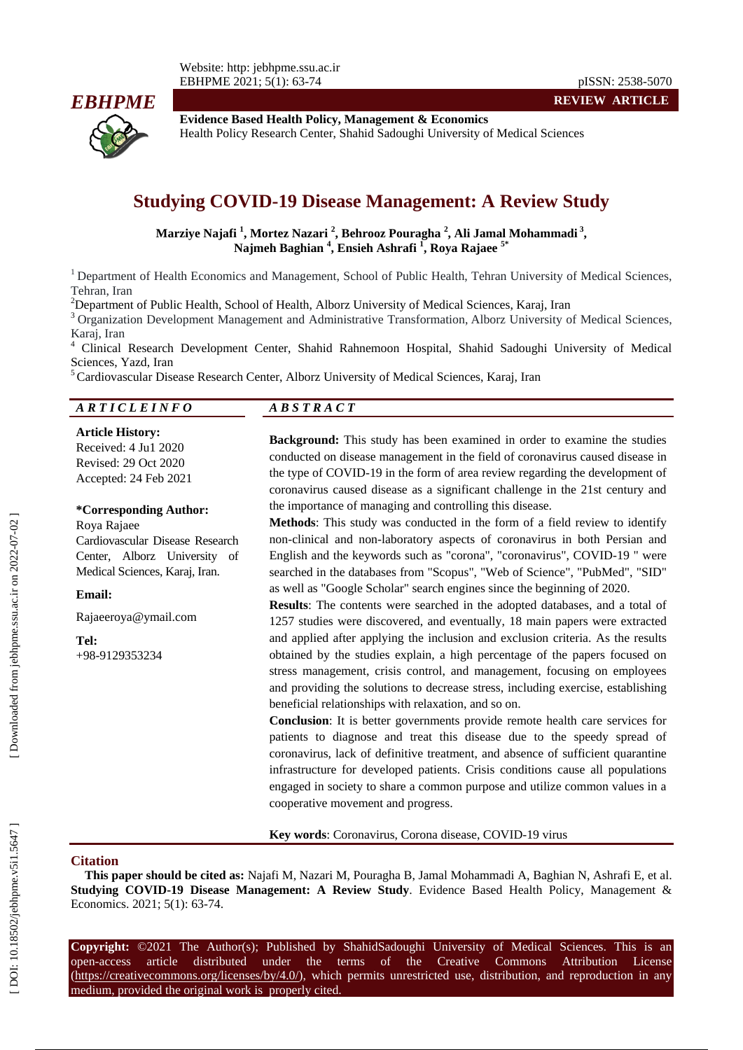

**Evidence Based Health Policy, Management & Economics** Health Policy Research Center, Shahid Sadoughi University of Medical Sciences

# **Studying COVID -19 Disease Management: A Review Study**

**Marziye Najafi 1 , Mortez Nazari 2 , Behrooz Pouragha 2 , Ali Jamal Mohammadi 3 , Najmeh Baghian 4 , Ensieh Ashrafi 1 , Roya Rajaee 5 \***

<sup>1</sup> Department of Health Economics and Management, School of Public Health, Tehran University of Medical Sciences, Tehran, Iran<br><sup>2</sup>Department of Public Health, School of Health, Alborz University of Medical Sciences, Karaj, Iran

<sup>3</sup> Organization Development Management and Administrative Transformation, Alborz University of Medical Sciences, Karaj, Iran<br><sup>4</sup> Clinical Research Development Center, Shahid Rahnemoon Hospital, Shahid Sadoughi University of Medical

Sciences, Yazd, Iran<br><sup>5</sup> Cardiovascular Disease Research Center, Alborz University of Medical Sciences, Karaj, Iran

#### *A R T I C L E I N F O A B S T R A C T*

**Article History:** Received: 4 Ju 1 2020 Revised: 29 Oct 2020 Accepted: 2 4 Feb 202 1

#### **\*Corresponding Author:**

Roya Rajaee Cardiovascular Disease Research Center, Alborz University of Medical Sciences, Karaj, Iran.

**Email:**

Rajaeeroya@ymail.com

**Tel:** +98 -9129353234

**Background:** This study has been examined in order to examine the studies conducted on disease management in the field of coronavirus caused disease in the type of COVID -19 in the form of area review regarding the development of coronavirus caused disease as a significant challenge in the 21st century and the importance of managing and controlling this disease.

**Methods**: This study was conducted in the form of a field review to identify non -clinical and non -laboratory aspects of coronavirus in both Persian and English and the keywords such as "corona", "coronavirus", COVID -19 " were searched in the databases from "Scopus", "Web of Science", "PubMed", "SID" as well as "Google Scholar" search engines since the beginning of 2020.

**Results**: The contents were searched in the adopted databases, and a total of 1257 studies were discovered, and eventually, 18 main papers were extracted and applied after applying the inclusion and exclusion criteria. As the results obtained by the studies explain, a high percentage of the papers focused on stress management, crisis control, and management, focusing on employees and providing the solutions to decrease stress, including exercise, establishing beneficial relationships with relaxation, and so on.

**Conclusion**: It is better governments provide remote health care services for patients to diagnose and treat this disease due to the speedy spread of coronavirus, lack of definitive treatment, and absence of sufficient quarantine infrastructure for developed patients. Crisis conditions cause all populations engaged in society to share a common purpose and utilize common values in a cooperative movement and progress.

**Key words**: Coronavirus, Corona disease, COVID -19 virus

#### **Citation**

**This paper should be cited as:** Najafi M, Nazari M, Pouragha B, Jamal Mohammadi A, Baghian N, Ashrafi E, et al. **Studying COVID -19 Disease Management: A Review Study**. Evidence Based Health Policy, Management & Economics. 2021; 5(1): 63-74.

Copyright: ©2021 The Author(s); Published by ShahidSadoughi University of Medical Sciences. This is an open-access -access article distributed under the terms of the Creative Commons Attribution License (https://creativecommons.org/licenses/by/4.0/), which permits unrestricted use, distribution, and reproduction in any medium, provided the original work is properly cited.

**REVIEW ARTICLE**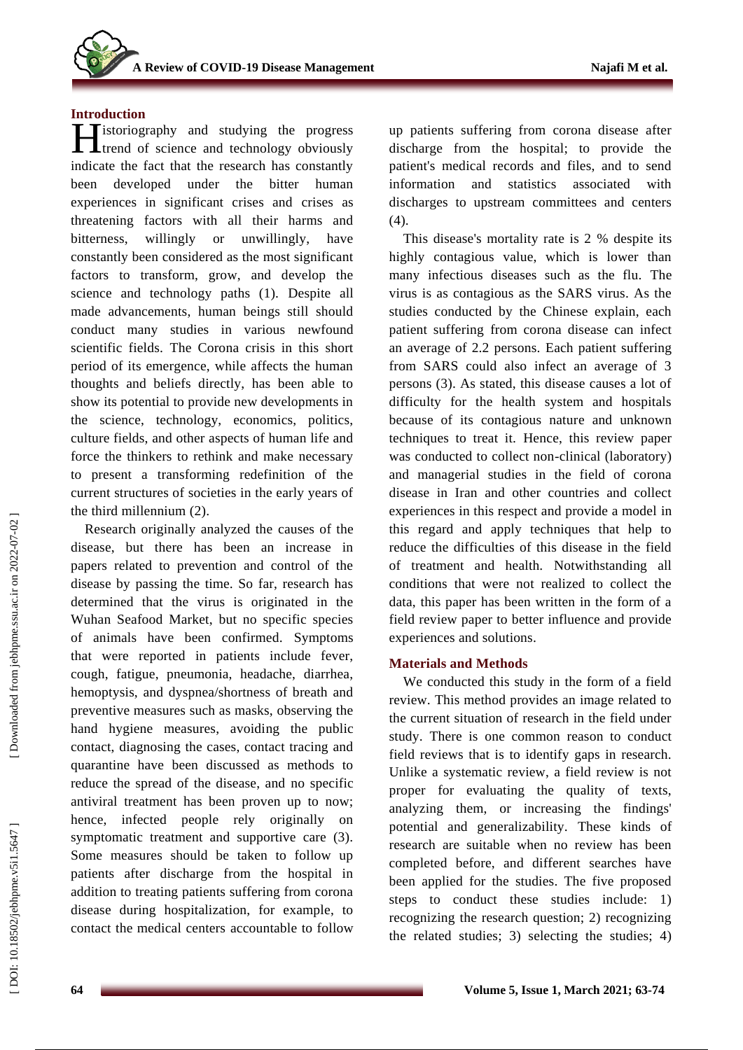## **Introduction**

**Tistoriography** and studying the progress **H**istoriography and studying the progress<br>
trend of science and technology obviously indicate the fact that the research has constantly been developed under the bitter human experiences in significant crises and crises as threatening factors with all their harms and bitterness, willingly or unwillingly, have constantly been considered as the most significant factors to transform, grow, and develop the science and technology paths (1). Despite all made advancements, human beings still should conduct many studies in various newfound scientific fields. The Corona crisis in this short period of its emergence, while affects the human thoughts and beliefs directly, has been able to show its potential to provide new developments in the science, technology, economics, politics, culture fields, and other aspects of human life and force the thinkers to rethink and make necessary to present a transforming redefinition of the current structures of societies in the early years of the third millennium (2) .

Research originally analyzed the causes of the disease, but there has been an increase in papers related to prevention and control of the disease by passing the time. So far, research has determined that the virus is originated in the Wuhan Seafood Market, but no specific species of animals have been confirmed. Symptoms that were reported in patients include fever, cough, fatigue, pneumonia, headache, diarrhea, hemoptysis, and dyspnea/shortness of breath and preventive measures such as masks, observing the hand hygiene measures, avoiding the public contact, diagnosing the cases, contact tracing and quarantine have been discussed as methods to reduce the spread of the disease, and no specific antiviral treatment has been proven up to now; hence, infected people rely originally on symptomatic treatment and supportive care (3). Some measures should be taken to follow up patients after discharge from the hospital in addition to treating patients suffering from corona disease during hospitalization, for example, to contact the medical centers accountable to follow

up patients suffering from corona disease after discharge from the hospital; to provide the patient's medical records and files, and to send information and statistics associated with discharges to upstream committees and centers (4) .

This disease's mortality rate is 2 % despite its highly contagious value, which is lower than many infectious diseases such as the flu. The virus is as contagious as the SARS virus. As the studies conducted by the Chinese explain, each patient suffering from corona disease can infect an average of 2.2 persons. Each patient suffering from SARS could also infect an average of 3 persons (3). As stated, this disease causes a lot of difficulty for the health system and hospitals because of its contagious nature and unknown techniques to treat it. Hence, this review paper was conducted to collect non -clinical (laboratory) and managerial studies in the field of corona disease in Iran and other countries and collect experiences in this respect and provide a model in this regard and apply techniques that help to reduce the difficulties of this disease in the field of treatment and health. Notwithstanding all conditions that were not realized to collect the data, this paper has been written in the form of a field review paper to better influence and provide experiences and solutions.

## **Materials and Methods**

We conducted this study in the form of a field review. This method provides an image related to the current situation of research in the field under study. There is one common reason to conduct field reviews that is to identify gaps in research. Unlike a systematic review, a field review is not proper for evaluating the quality of texts, analyzing them, or increasing the findings' potential and generalizability. These kinds of research are suitable when no review has been completed before, and different searches have been applied for the studies. The five proposed steps to conduct these studies include: 1) recognizing the research question; 2) recognizing the related studies; 3) selecting the studies; 4)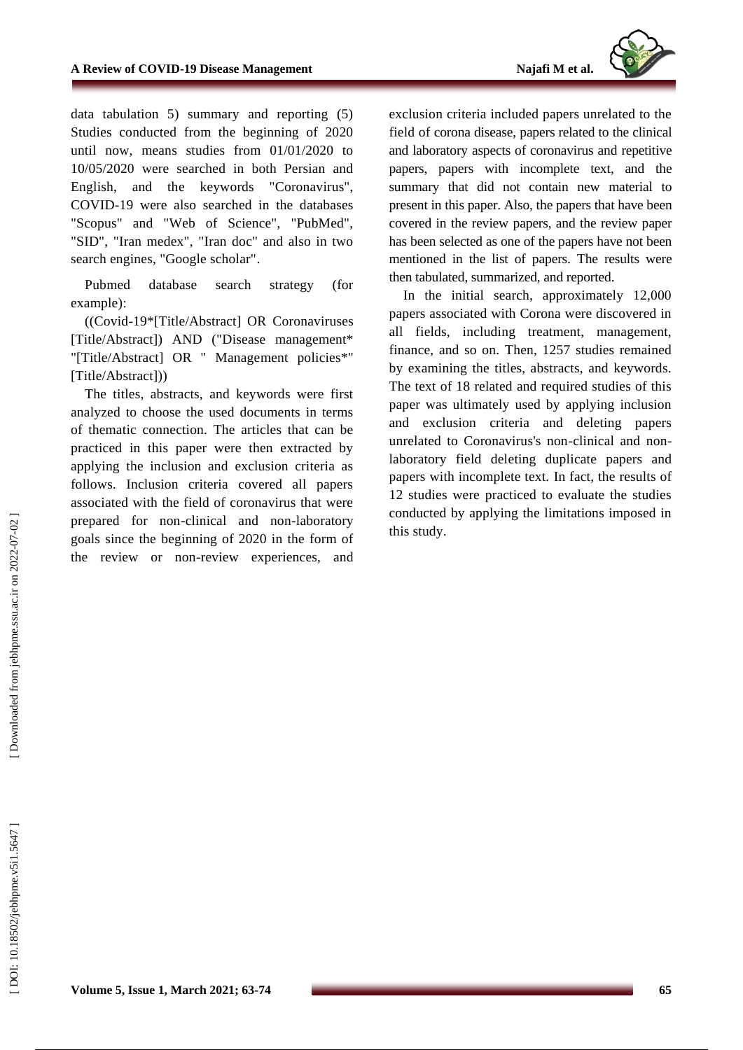

data tabulation 5) summary and reporting (5) Studies conducted from the beginning of 2020 until now, means studies from 01/01/2020 to 10/05/2020 were searched in both Persian and English, and the keywords "Coronavirus", COVID -19 were also searched in the databases "Scopus" and "Web of Science", "PubMed", "SID", "Iran medex", "Iran doc" and also in two search engines, "Google scholar" .

Pubmed database search strategy (for example) :

((Covid -19\*[Title/Abstract] OR Coronaviruses [Title/Abstract]) AND ("Disease management\* "[Title/Abstract] OR " Management policies\*" [Title/Abstract]))

The titles, abstracts, and keywords were first analyzed to choose the used documents in terms of thematic connection. The articles that can be practiced in this paper were then extracted by applying the inclusion and exclusion criteria as follows. Inclusion criteria covered all papers associated with the field of coronavirus that were prepared for non -clinical and non -laboratory goals since the beginning of 2020 in the form of the review or non -review experiences, and

exclusion criteria included papers unrelated to the field of corona disease , papers related to the clinical and laboratory aspects of coronavirus and repetitive papers, papers with incomplete text, and the summary that did not contain new material to present in this paper. Also, the papers that have been covered in the review papers, and the review paper has been selected as one of the papers have not been mentioned in the list of papers. The results were then tabulated, summarized, and reported.

In the initial search, approximately 12,000 papers associated with Corona were discovered in all fields, including treatment, management, finance, and so on. Then, 1257 studies remained by examining the titles, abstracts, and keywords. The text of 18 related and required studies of this paper was ultimately used by applying inclusion and exclusion criteria and deleting papers unrelated to Coronavirus's non -clinical and non laboratory field deleting duplicate papers and papers with incomplete text. In fact, the results of 12 studies were practiced to evaluate the studies conducted by applying the limitations imposed in this study.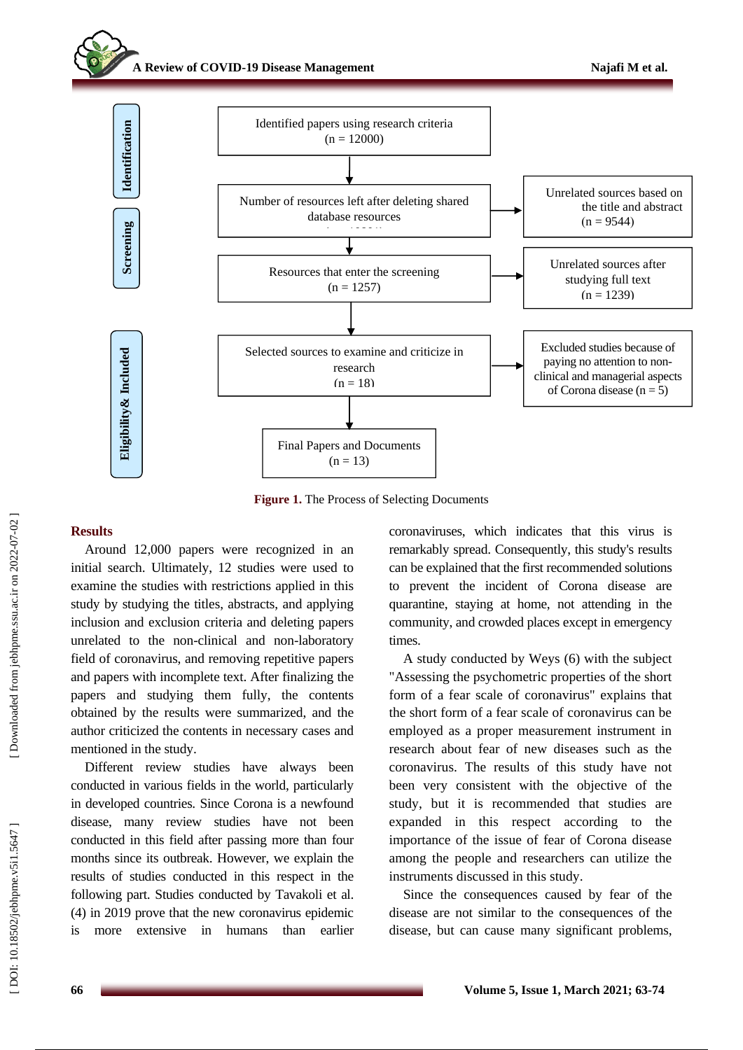### **A Review of COVID -19 Disease Management**



**Figure 1.** The Process of Selecting Documents

#### **Results**

Around 12,000 papers were recognized in an initial search. Ultimately, 12 studies were used to examine the studies with restrictions applied in this study by studying the titles, abstracts, and applying inclusion and exclusion criteria and deleting papers unrelated to the non -clinical and non -laboratory field of coronavirus, and removing repetitive papers and papers with incomplete text. After finalizing the papers and studying them fully, the contents obtained by the results were summarized, and the author criticized the contents in necessary cases and mentioned in the study.

Different review studies have always been conducted in various fields in the world, particularly in developed countries. Since Corona is a newfound disease, many review studies have not been conducted in this field after passing more than four months since its outbreak. However, we explain the results of studies conducted in this respect in the following part. Studies conducted by Tavakoli et al. (4) in 2019 prove that the new coronavirus epidemic is more extensive in humans than earlier coronaviruses, which indicates that this virus is remarkably spread. Consequently, this study's results can be explained that the first recommended solutions to prevent the incident of Corona disease are quarantine, staying at home, not attending in the community, and crowded places except in emergency times.

A study conducted by Weys (6) with the subject "Assessing the psychometric properties of the short form of a fear scale of coronavirus" explains that the short form of a fear scale of coronavirus can be employed as a proper measurement instrument in research about fear of new diseases such as the coronavirus. The results of this study have not been very consistent with the objective of the study, but it is recommended that studies are expanded in this respect according to the importance of the issue of fear of Corona disease among the people and researchers can utilize the instruments discussed in this study .

Since the consequences caused by fear of the disease are not similar to the consequences of the disease, but can cause many significant problems,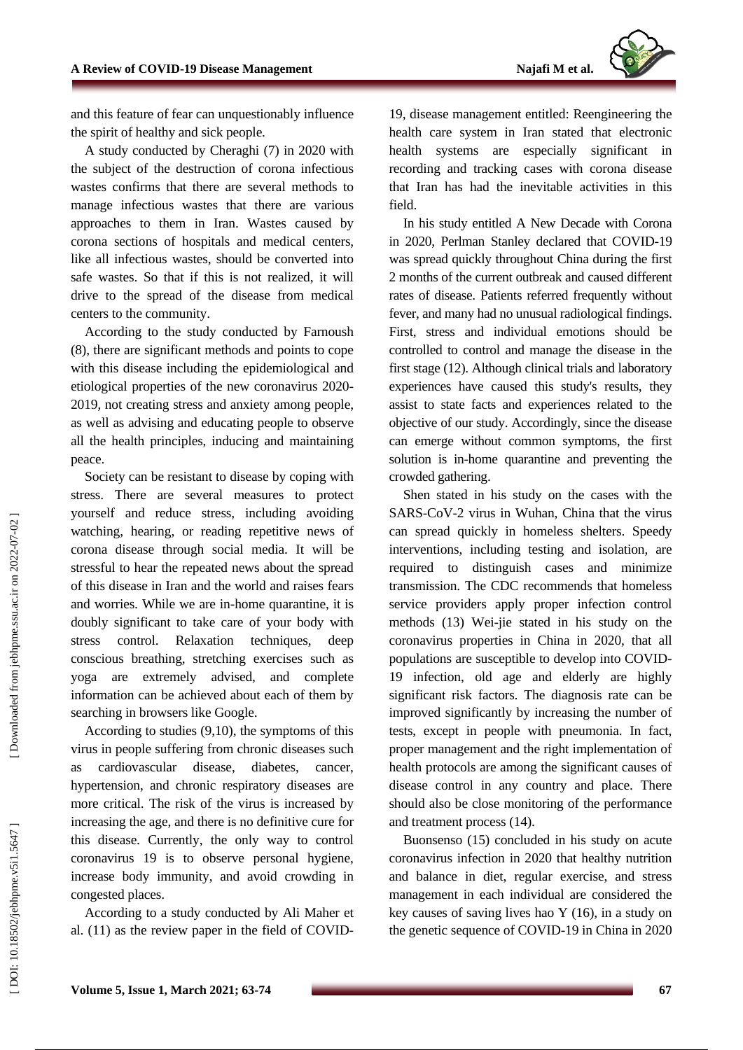

and this feature of fear can unquestionably influence the spirit of healthy and sick people.

A study conducted by Cheraghi (7) in 2020 with the subject of the destruction of corona infectious wastes confirms that there are several methods to manage infectious wastes that there are various approaches to them in Iran . Wastes caused by corona sections of hospitals and medical centers, like all infectious wastes, should be converted into safe wastes. So that if this is not realized, it will drive to the spread of the disease from medical centers to the community.

According to the study conducted by Farnoush (8), there are significant methods and points to cope with this disease including the epidemiological and etiological properties of the new coronavirus 2020 - 2019, not creating stress and anxiety among people, as well as advising and educating people to observe all the health principles, inducing and maintaining peace.

Society can be resistant to disease by coping with stress. There are several measures to protect yourself and reduce stress, including avoiding watching, hearing, or reading repetitive news of corona disease through social media. It will be stressful to hear the repeated news about the spread of this disease in Iran and the world and raises fears and worries. While we are in -home quarantine, it is doubly significant to take care of your body with stress control. Relaxation techniques, deep conscious breathing, stretching exercises such as yoga are extremely advised, and complete information can be achieved about each of them by searching in browsers like Google.

According to studies (9,10), the symptoms of this virus in people suffering from chronic diseases such as cardiovascular disease, diabetes, cancer, hypertension, and chronic respiratory diseases are more critical. The risk of the virus is increased by increasing the age, and there is no definitive cure for this disease. Currently, the only way to control coronavirus 19 is to observe personal hygiene, increase body immunity, and avoid crowding in congested places.

According to a study conducted by Ali Maher et al. (11) as the review paper in the field of COVID -

19, disease management entitled: Reengineering the health care system in Iran stated that electronic health systems are especially significant in recording and tracking cases with corona disease that Iran has had the inevitable activities in this field .

In his study entitled A New Decade with Corona in 2020, Perlman Stanley declared that COVID -19 was spread quickly throughout China during the first 2 months of the current outbreak and caused different rates of disease. Patients referred frequently without fever, and many had no unusual radiological findings. First, stress and individual emotions should be controlled to control and manage the disease in the first stage (12). Although clinical trials and laboratory experiences have caused this study's results, they assist to state facts and experiences related to the objective of our study. Accordingly, since the disease can emerge without common symptoms, the first solution is in -home quarantine and preventing the crowded gathering.

Shen stated in his study on the cases with the SARS -CoV -2 virus in Wuhan, China that the virus can spread quickly in homeless shelters. Speedy interventions, including testing and isolation, are required to distinguish cases and minimize transmission. The CDC recommends that homeless service providers apply proper infection control methods (13) Wei -jie stated in his study on the coronavirus properties in China in 2020, that all populations are susceptible to develop into COVID - 19 infection, old age and elderly are highly significant risk factors. The diagnosis rate can be improved significantly by increasing the number of tests, except in people with pneumonia. In fact, proper management and the right implementation of health protocols are among the significant causes of disease control in any country and place. There should also be close monitoring of the performance and treatment process (14).

Buonsenso (15) concluded in his study on acute coronavirus infection in 2020 that healthy nutrition and balance in diet, regular exercise, and stress management in each individual are considered the key causes of saving lives hao Y (16), in a study on the genetic sequence of COVID -19 in China in 2020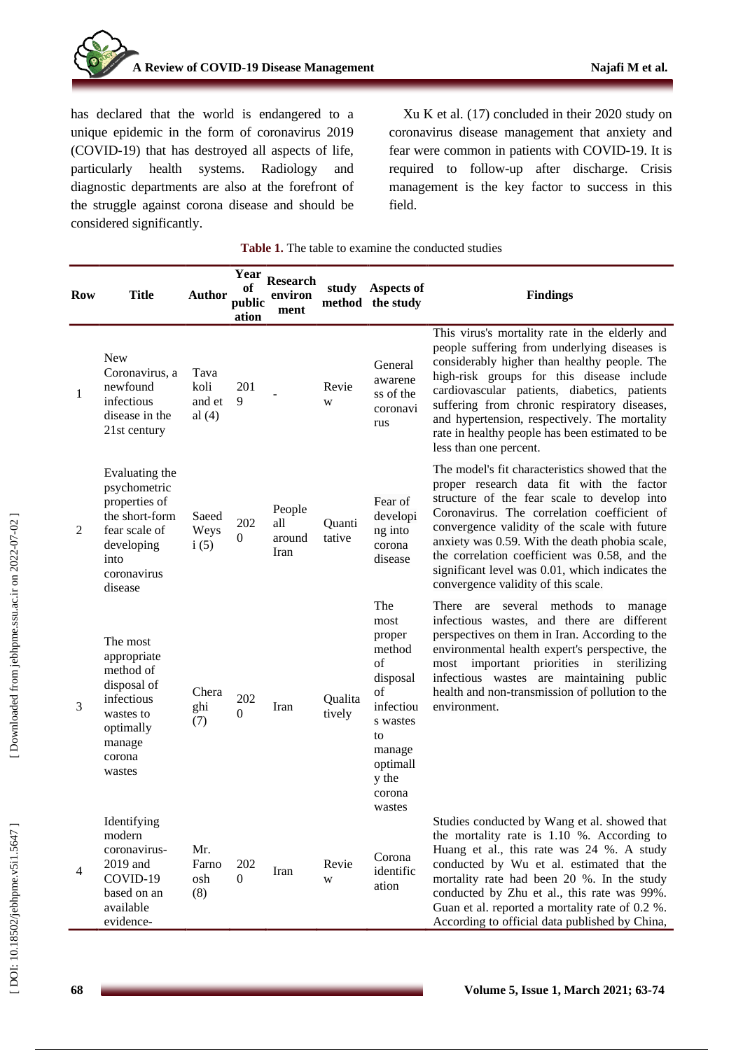

has declared that the world is endangered to a unique epidemic in the form of coronavirus 2019 (COVID -19) that has destroyed all aspects of life, particularly health systems. Radiology and diagnostic departments are also at the forefront of the struggle against corona disease and should be considered significantly.

Xu K et al. (17) concluded in their 2020 study on coronavirus disease management that anxiety and fear were common in patients with COVID -19. It is required to follow -up after discharge. Crisis management is the key factor to success in this field.

| <b>Row</b> | <b>Title</b>                                                                                                                       | <b>Author</b>                      | Year<br>оf<br>public<br>ation | <b>Research</b><br>environ<br>ment |                   | study Aspects of<br>method the study                                                                                            | <b>Findings</b>                                                                                                                                                                                                                                                                                                                                                                                                                         |
|------------|------------------------------------------------------------------------------------------------------------------------------------|------------------------------------|-------------------------------|------------------------------------|-------------------|---------------------------------------------------------------------------------------------------------------------------------|-----------------------------------------------------------------------------------------------------------------------------------------------------------------------------------------------------------------------------------------------------------------------------------------------------------------------------------------------------------------------------------------------------------------------------------------|
| 1          | <b>New</b><br>Coronavirus, a<br>newfound<br>infectious<br>disease in the<br>21st century                                           | Tava<br>koli<br>and et<br>al $(4)$ | 201<br>9                      |                                    | Revie<br>W        | General<br>awarene<br>ss of the<br>coronavi<br>rus                                                                              | This virus's mortality rate in the elderly and<br>people suffering from underlying diseases is<br>considerably higher than healthy people. The<br>high-risk groups for this disease include<br>cardiovascular patients, diabetics, patients<br>suffering from chronic respiratory diseases,<br>and hypertension, respectively. The mortality<br>rate in healthy people has been estimated to be<br>less than one percent.               |
| 2          | Evaluating the<br>psychometric<br>properties of<br>the short-form<br>fear scale of<br>developing<br>into<br>coronavirus<br>disease | Saeed<br>Weys<br>i(5)              | 202<br>$\overline{0}$         | People<br>all<br>around<br>Iran    | Quanti<br>tative  | Fear of<br>developi<br>ng into<br>corona<br>disease                                                                             | The model's fit characteristics showed that the<br>proper research data fit with the factor<br>structure of the fear scale to develop into<br>Coronavirus. The correlation coefficient of<br>convergence validity of the scale with future<br>anxiety was 0.59. With the death phobia scale,<br>the correlation coefficient was 0.58, and the<br>significant level was 0.01, which indicates the<br>convergence validity of this scale. |
| 3          | The most<br>appropriate<br>method of<br>disposal of<br>infectious<br>wastes to<br>optimally<br>manage<br>corona<br>wastes          | Chera<br>ghi<br>(7)                | 202<br>$\overline{0}$         | Iran                               | Qualita<br>tively | The<br>most<br>proper<br>method<br>of<br>disposal<br>of<br>infectiou<br>s wastes<br>to<br>manage<br>optimall<br>y the<br>corona | There are<br>several methods<br>to<br>manage<br>infectious wastes, and there are different<br>perspectives on them in Iran. According to the<br>environmental health expert's perspective, the<br>priorities in<br>important<br>sterilizing<br>most<br>infectious wastes are maintaining public<br>health and non-transmission of pollution to the<br>environment.                                                                      |
| 4          | Identifying<br>modern<br>coronavirus-<br>2019 and<br>COVID-19<br>based on an<br>available<br>evidence-                             | Mr.<br>Farno<br>osh<br>(8)         | 202<br>$\Omega$               | Iran                               | Revie<br>W        | wastes<br>Corona<br>identific<br>ation                                                                                          | Studies conducted by Wang et al. showed that<br>the mortality rate is $1.10\%$ . According to<br>Huang et al., this rate was 24 %. A study<br>conducted by Wu et al. estimated that the<br>mortality rate had been 20 %. In the study<br>conducted by Zhu et al., this rate was 99%.<br>Guan et al. reported a mortality rate of 0.2 %.<br>According to official data published by China,                                               |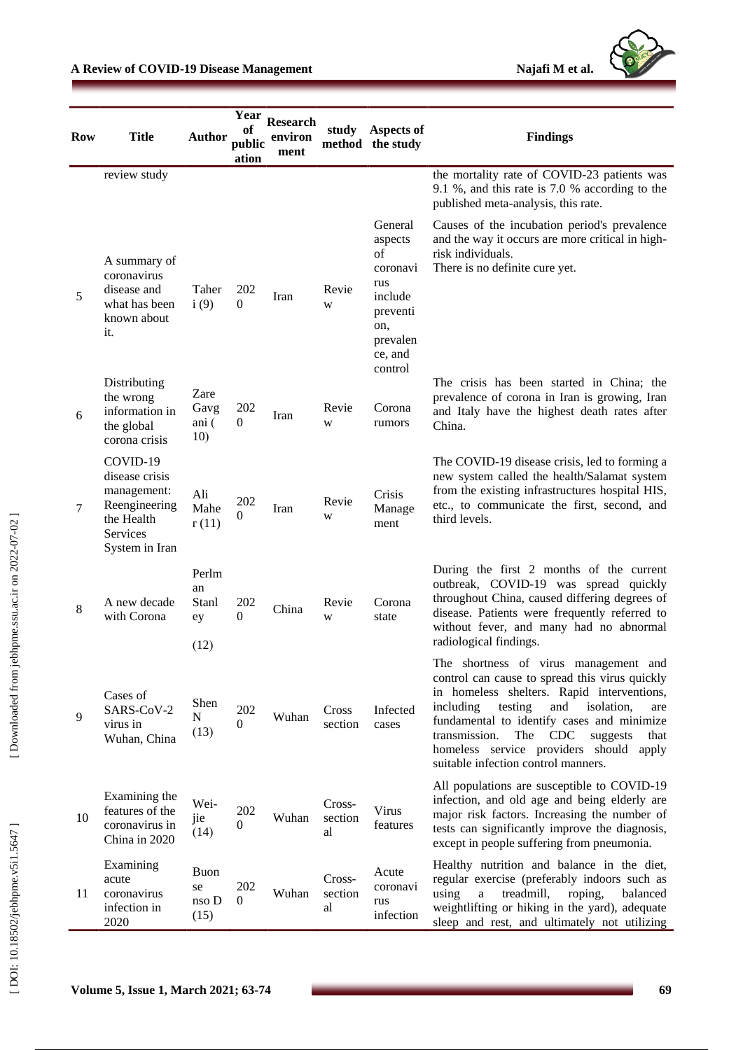

| <b>Row</b> | <b>Title</b>                                                                                           | <b>Author</b>                      | Year<br>оf<br>public<br>ation | <b>Research</b><br>environ<br>ment | study                   | Aspects of<br>method the study                                                                              | <b>Findings</b>                                                                                                                                                                                                                                                                                                                                                                        |
|------------|--------------------------------------------------------------------------------------------------------|------------------------------------|-------------------------------|------------------------------------|-------------------------|-------------------------------------------------------------------------------------------------------------|----------------------------------------------------------------------------------------------------------------------------------------------------------------------------------------------------------------------------------------------------------------------------------------------------------------------------------------------------------------------------------------|
|            | review study                                                                                           |                                    |                               |                                    |                         |                                                                                                             | the mortality rate of COVID-23 patients was<br>9.1 %, and this rate is 7.0 % according to the<br>published meta-analysis, this rate.                                                                                                                                                                                                                                                   |
| 5          | A summary of<br>coronavirus<br>disease and<br>what has been<br>known about<br>it.                      | Taher<br>i(9)                      | 202<br>$\Omega$               | Iran                               | Revie<br>W              | General<br>aspects<br>of<br>coronavi<br>rus<br>include<br>preventi<br>on,<br>prevalen<br>ce, and<br>control | Causes of the incubation period's prevalence<br>and the way it occurs are more critical in high-<br>risk individuals.<br>There is no definite cure yet.                                                                                                                                                                                                                                |
| 6          | Distributing<br>the wrong<br>information in<br>the global<br>corona crisis                             | Zare<br>Gavg<br>ani (<br>10)       | 202<br>$\Omega$               | Iran                               | Revie<br>W              | Corona<br>rumors                                                                                            | The crisis has been started in China; the<br>prevalence of corona in Iran is growing, Iran<br>and Italy have the highest death rates after<br>China.                                                                                                                                                                                                                                   |
| 7          | COVID-19<br>disease crisis<br>management:<br>Reengineering<br>the Health<br>Services<br>System in Iran | Ali<br>Mahe<br>r(11)               | 202<br>$\Omega$               | Iran                               | Revie<br>W              | Crisis<br>Manage<br>ment                                                                                    | The COVID-19 disease crisis, led to forming a<br>new system called the health/Salamat system<br>from the existing infrastructures hospital HIS,<br>etc., to communicate the first, second, and<br>third levels.                                                                                                                                                                        |
| 8          | A new decade<br>with Corona                                                                            | Perlm<br>an<br>Stanl<br>ey<br>(12) | 202<br>$\Omega$               | China                              | Revie<br>W              | Corona<br>state                                                                                             | During the first 2 months of the current<br>outbreak, COVID-19 was spread quickly<br>throughout China, caused differing degrees of<br>disease. Patients were frequently referred to<br>without fever, and many had no abnormal<br>radiological findings.                                                                                                                               |
| 9          | Cases of<br>SARS-CoV-2<br>virus in<br>Wuhan, China                                                     | Shen<br>N<br>(13)                  | 202<br>$\Omega$               | Wuhan                              | Cross<br>section        | Infected<br>cases                                                                                           | The shortness of virus management and<br>control can cause to spread this virus quickly<br>in homeless shelters. Rapid interventions,<br>testing<br>and<br>including<br>isolation,<br>are<br>fundamental to identify cases and minimize<br>transmission.<br><b>CDC</b><br>The<br>suggests<br>that<br>homeless service providers should<br>apply<br>suitable infection control manners. |
| 10         | Examining the<br>features of the<br>coronavirus in<br>China in 2020                                    | Wei-<br>jie<br>(14)                | 202<br>$\Omega$               | Wuhan                              | Cross-<br>section<br>al | Virus<br>features                                                                                           | All populations are susceptible to COVID-19<br>infection, and old age and being elderly are<br>major risk factors. Increasing the number of<br>tests can significantly improve the diagnosis,<br>except in people suffering from pneumonia.                                                                                                                                            |
| 11         | Examining<br>acute<br>coronavirus<br>infection in<br>2020                                              | Buon<br>se<br>nso D<br>(15)        | 202<br>$\Omega$               | Wuhan                              | Cross-<br>section<br>al | Acute<br>coronavi<br>rus<br>infection                                                                       | Healthy nutrition and balance in the diet,<br>regular exercise (preferably indoors such as<br>using<br>treadmill,<br>roping,<br>balanced<br>$\mathbf{a}$<br>weightlifting or hiking in the yard), adequate<br>sleep and rest, and ultimately not utilizing                                                                                                                             |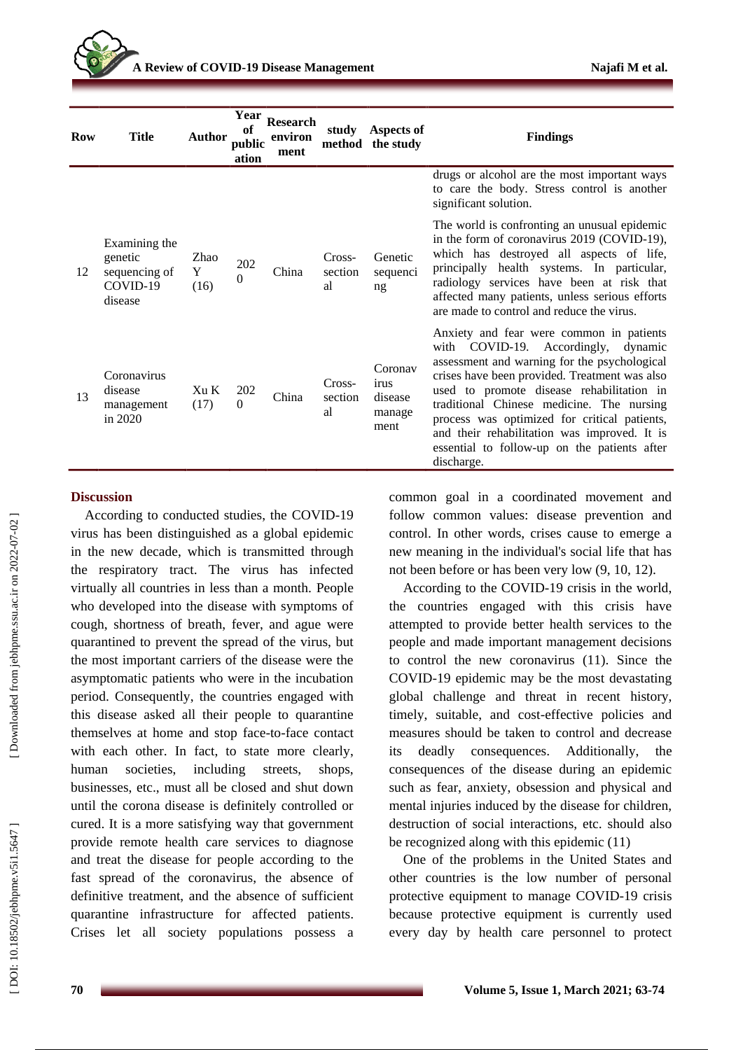| <b>Row</b> | <b>Title</b>                                                     | <b>Author</b>     | Year<br>of<br>public<br>ation | <b>Research</b><br>environ<br>ment | study                   | <b>Aspects of</b><br>method the study        | <b>Findings</b>                                                                                                                                                                                                                                                                                                                                                                                                                          |
|------------|------------------------------------------------------------------|-------------------|-------------------------------|------------------------------------|-------------------------|----------------------------------------------|------------------------------------------------------------------------------------------------------------------------------------------------------------------------------------------------------------------------------------------------------------------------------------------------------------------------------------------------------------------------------------------------------------------------------------------|
|            |                                                                  |                   |                               |                                    |                         |                                              | drugs or alcohol are the most important ways<br>to care the body. Stress control is another<br>significant solution.                                                                                                                                                                                                                                                                                                                     |
| 12         | Examining the<br>genetic<br>sequencing of<br>COVID-19<br>disease | Zhao<br>Y<br>(16) | 202<br>$\Omega$               | China                              | Cross-<br>section<br>al | Genetic<br>sequenci<br>ng                    | The world is confronting an unusual epidemic<br>in the form of coronavirus 2019 (COVID-19),<br>which has destroyed all aspects of life,<br>principally health systems. In particular,<br>radiology services have been at risk that<br>affected many patients, unless serious efforts<br>are made to control and reduce the virus.                                                                                                        |
| 13         | Coronavirus<br>disease<br>management<br>in 2020                  | Xu K<br>(17)      | 202<br>$\Omega$               | China                              | Cross-<br>section<br>al | Coronav<br>irus<br>disease<br>manage<br>ment | Anxiety and fear were common in patients<br>with COVID-19. Accordingly, dynamic<br>assessment and warning for the psychological<br>crises have been provided. Treatment was also<br>used to promote disease rehabilitation in<br>traditional Chinese medicine. The nursing<br>process was optimized for critical patients,<br>and their rehabilitation was improved. It is<br>essential to follow-up on the patients after<br>discharge. |

### **Discussion**

According to conducted studies, the COVID -19 virus has been distinguished as a global epidemic in the new decade, which is transmitted through the respiratory tract. The virus has infected virtually all countries in less than a month. People who developed into the disease with symptoms of cough, shortness of breath, fever, and ague were quarantined to prevent the spread of the virus, but the most important carriers of the disease were the asymptomatic patients who were in the incubation period. Consequently, the countries engaged with this disease asked all their people to quarantine themselves at home and stop face -to -face contact with each other. In fact, to state more clearly, human societies, including streets, shops, businesses, etc., must all be closed and shut down until the corona disease is definitely controlled or cured. It is a more satisfying way that government provide remote health care services to diagnose and treat the disease for people according to the fast spread of the coronavirus, the absence of definitive treatment, and the absence of sufficient quarantine infrastructure for affected patients. Crises let all society populations possess a

common goal in a coordinated movement and follow common values: disease prevention and control. In other words, crises cause to emerge a new meaning in the individual's social life that has not been before or has been very low (9, 10, 12).

According to the COVID -19 crisis in the world, the countries engaged with this crisis have attempted to provide better health services to the people and made important management decisions to control the new coronavirus (11). Since the COVID -19 epidemic may be the most devastating global challenge and threat in recent history, timely, suitable, and cost -effective policies and measures should be taken to control and decrease its deadly consequences. Additionally, the consequences of the disease during an epidemic such as fear, anxiety, obsession and physical and mental injuries induced by the disease for children, destruction of social interactions, etc. should also be recognized along with this epidemic (11)

One of the problems in the United States and other countries is the low number of personal protective equipment to manage COVID -19 crisis because protective equipment is currently used every day by health care personnel to protect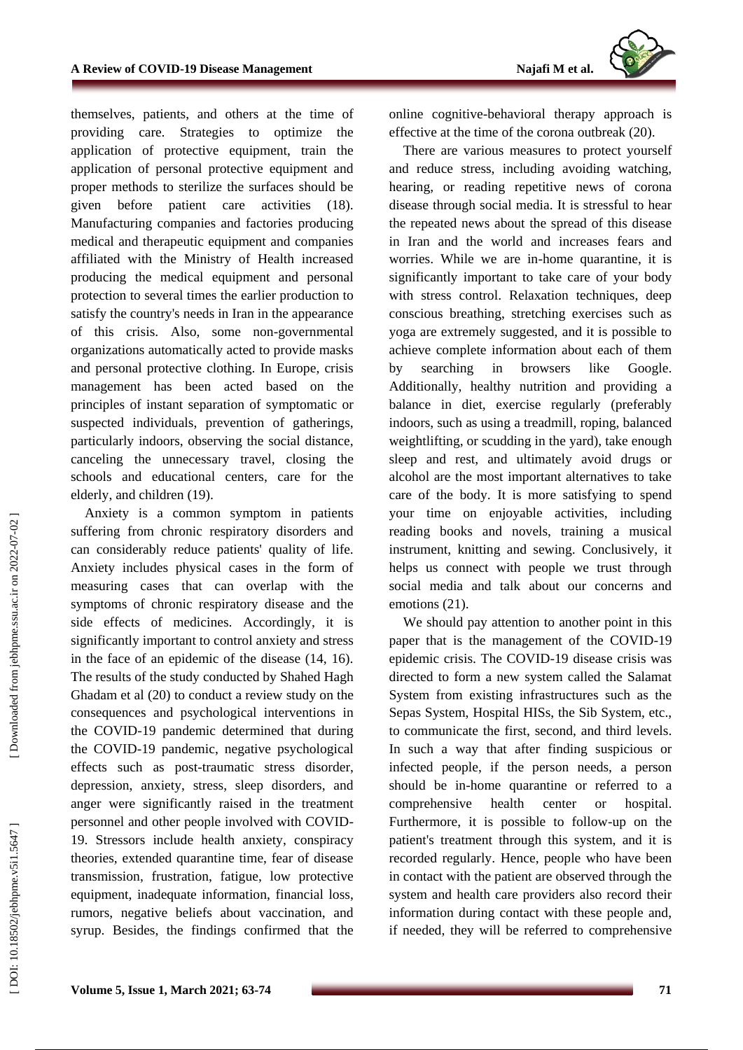themselves, patients, and others at the time of providing care. Strategies to optimize the application of protective equipment, train the application of personal protective equipment and proper methods to sterilize the surfaces should be given before patient care activities (18). Manufacturing companies and factories producing medical and therapeutic equipment and companies affiliated with the Ministry of Health increased producing the medical equipment and personal protection to several times the earlier production to satisfy the country's needs in Iran in the appearance of this crisis. Also, some non -governmental organizations automatically acted to provide masks and personal protective clothing. In Europe, crisis management has been acted based on the principles of instant separation of symptomatic or suspected individuals, prevention of gatherings, particularly indoors, observing the social distance, canceling the unnecessary travel, closing the schools and educational centers, care for the elderly, and children (19).

Anxiety is a common symptom in patients suffering from chronic respiratory disorders and can considerably reduce patients' quality of life. Anxiety includes physical cases in the form of measuring cases that can overlap with the symptoms of chronic respiratory disease and the side effects of medicines. Accordingly, it is significantly important to control anxiety and stress in the face of an epidemic of the disease (14, 16). The results of the study conducted by Shahed Hagh Ghadam et al (20) to conduct a review study on the consequences and psychological interventions in the COVID -19 pandemic determined that during the COVID -19 pandemic, negative psychological effects such as post -traumatic stress disorder, depression, anxiety, stress, sleep disorders, and anger were significantly raised in the treatment personnel and other people involved with COVID - 1 9 . Stressors include health anxiety, conspiracy theories, extended quarantine time, fear of disease transmission, frustration, fatigue, low protective equipment, inadequate information, financial loss, rumors, negative beliefs about vaccination, and syrup. Besides, the findings confirmed that the

online cognitive -behavioral therapy approach is effective at the time of the corona outbreak (20).

There are various measures to protect yourself and reduce stress, including avoiding watching, hearing, or reading repetitive news of corona disease through social media. It is stressful to hear the repeated news about the spread of this disease in Iran and the world and increases fears and worries. While we are in -home quarantine, it is significantly important to take care of your body with stress control. Relaxation techniques, deep conscious breathing, stretching exercises such as yoga are extremely suggested, and it is possible to achieve complete information about each of them by searching in browsers like Google. Additionally, healthy nutrition and providing a balance in diet, exercise regularly (preferably indoors, such as using a treadmill, roping, balanced weightlifting, or scudding in the yard), take enough sleep and rest, and ultimately avoid drugs or alcohol are the most important alternatives to take care of the body. It is more satisfying to spend your time on enjoyable activities, including reading books and novels, training a musical instrument, knitting and sewing. Conclusively, it helps us connect with people we trust through social media and talk about our concerns and emotions (21).

We should pay attention to another point in this paper that is the management of the COVID-19 epidemic crisis. The COVID -19 disease crisis was directed to form a new system called the Salamat System from existing infrastructures such as the Sepas System, Hospital HISs, the Sib System, etc., to communicate the first, second, and third levels. In such a way that after finding suspicious or infected people, if the person needs, a person should be in -home quarantine or referred to a comprehensive health center or hospital. Furthermore, it is possible to follow -up on the patient's treatment through this system, and it is recorded regularly. Hence, people who have been in contact with the patient are observed through the system and health care providers also record their information during contact with these people and, if needed, they will be referred to comprehensive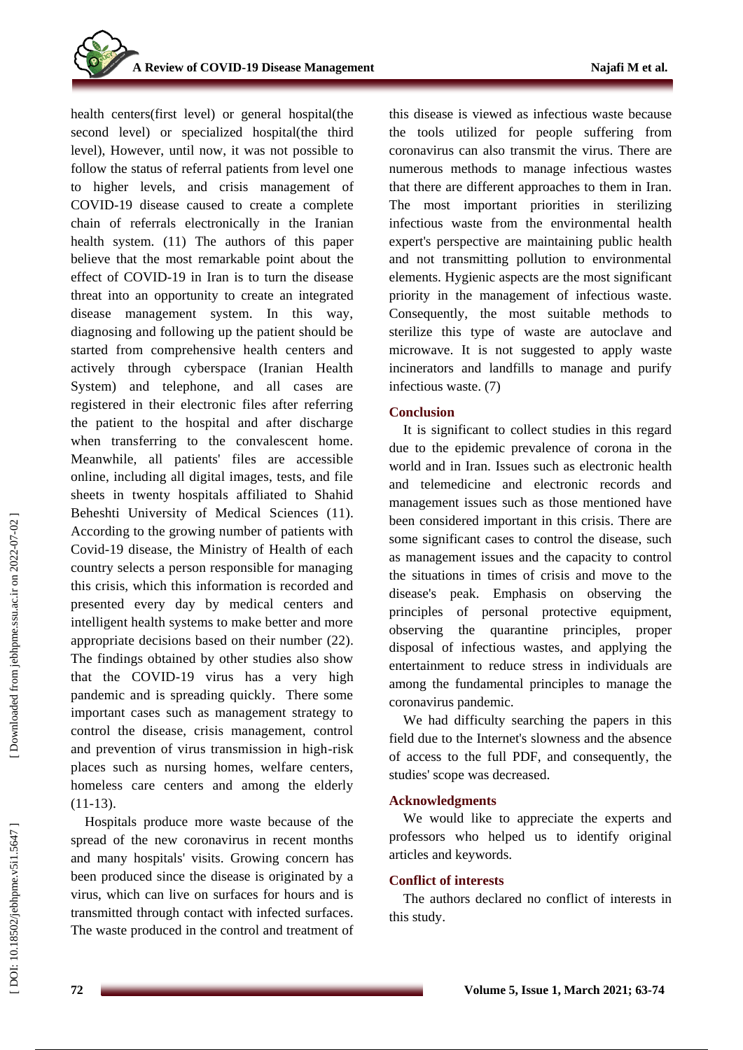health centers(first level) or general hospital(the second level) or specialized hospital(the third level), However, until now, it was not possible to follow the status of referral patients from level one to higher levels, and crisis management of COVID -19 disease caused to create a complete chain of referrals electronically in the Iranian health system. (11) The authors of this paper believe that the most remarkable point about the effect of COVID -19 in Iran is to turn the disease threat into an opportunity to create an integrated disease management system. In this way, diagnosing and following up the patient should be started from comprehensive health centers and actively through cyberspace (Iranian Health System) and telephone, and all cases are registered in their electronic files after referring the patient to the hospital and after discharge when transferring to the convalescent home. Meanwhile, all patients' files are accessible online, including all digital images, tests, and file sheets in twenty hospitals affiliated to Shahid Beheshti University of Medical Sciences (11). According to the growing number of patients with Covid -19 disease, the Ministry of Health of each country selects a person responsible for managing this crisis, which this information is recorded and presented every day by medical centers and intelligent health systems to make better and more appropriate decisions based on their number (22) . The findings obtained by other studies also show that the COVID -19 virus has a very high pandemic and is spreading quickly. There some important cases such as management strategy to control the disease, crisis management, control and prevention of virus transmission in high -risk places such as nursing homes, welfare centers, homeless care centers and among the elderly  $(11-13)$ .

Hospitals produce more waste because of the spread of the new coronavirus in recent months and many hospitals' visits. Growing concern has been produced since the disease is originated by a virus, which can live on surfaces for hours and is transmitted through contact with infected surfaces. The waste produced in the control and treatment of this disease is viewed as infectious waste because the tools utilized for people suffering from coronavirus can also transmit the virus. There are numerous methods to manage infectious wastes that there are different approaches to them in Iran. The most important priorities in sterilizing infectious waste from the environmental health expert's perspective are maintaining public health and not transmitting pollution to environmental elements. Hygienic aspects are the most significant priority in the management of infectious waste. Consequently, the most suitable methods to sterilize this type of waste are autoclave and microwave. It is not suggested to apply waste incinerators and landfills to manage and purify infectious waste. (7)

## **Conclusion**

It is significant to collect studies in this regard due to the epidemic prevalence of corona in the world and in Iran. Issues such as electronic health and telemedicine and electronic records and management issues such as those mentioned have been considered important in this crisis. There are some significant cases to control the disease, such as management issues and the capacity to control the situations in times of crisis and move to the disease's peak. Emphasis on observing the principles of personal protective equipment, observing the quarantine principles, proper disposal of infectious wastes, and applying the entertainment to reduce stress in individuals are among the fundamental principles to manage the coronavirus pandemic.

We had difficulty searching the papers in this field due to the Internet's slowness and the absence of access to the full PDF, and consequently, the studies' scope was decreased.

## **Acknowledgments**

We would like to appreciate the experts and professors who helped us to identify original articles and keywords.

## **Conflict of interests**

The authors declared no conflict of interests in this study.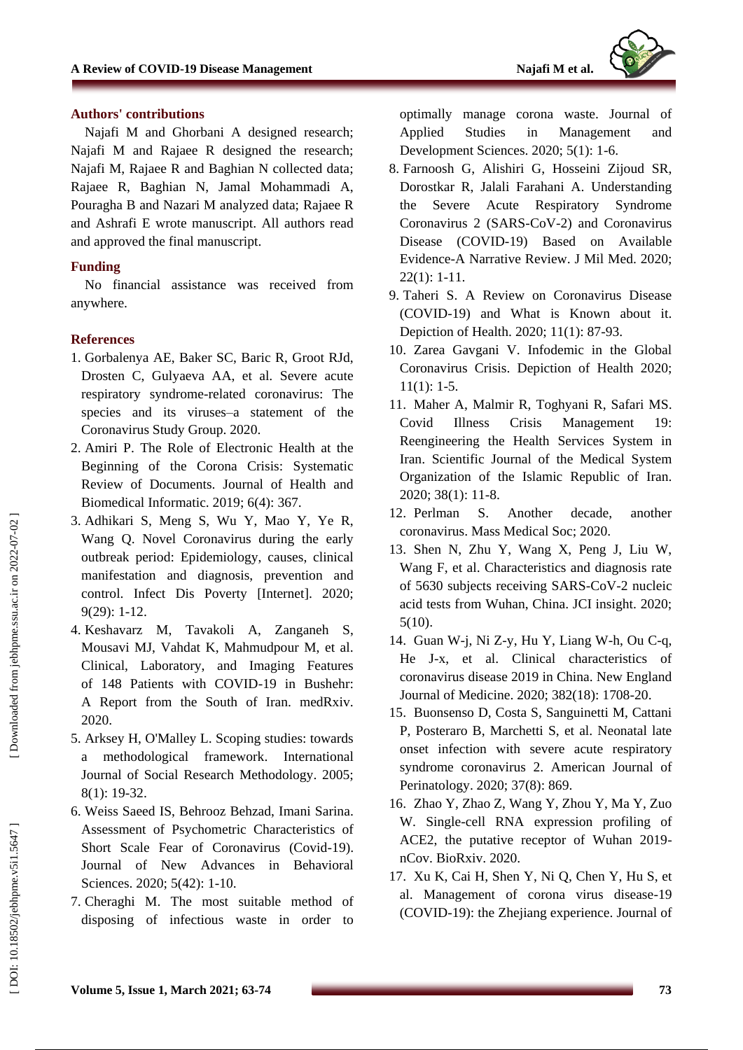

#### **Authors' contributions**

Najafi M and Ghorbani A designed research; Najafi M and Rajaee R designed the research; Najafi M, Rajaee R and Baghian N collected data; Rajaee R, Baghian N, Jamal Mohammadi A, Pouragha B and Nazari M analyzed data; Rajaee R and Ashrafi E wrote manuscript. All authors read and approved the final manuscript.

### **Funding**

No financial assistance was received from anywher e .

#### **References**

- 1. Gorbalenya AE, Baker SC, Baric R, Groot RJd, Drosten C, Gulyaeva AA, et al. Severe acute respiratory syndrome -related coronavirus: The species and its viruses –a statement of the Coronavirus Study Group. 2020.
- 2 . Amiri P. The Role of Electronic Health at the Beginning of the Corona Crisis: Systematic Review of Documents. Journal of Health and Biomedical Informatic. 2019; 6(4): 367.
- 3 . Adhikari S, Meng S, Wu Y, Mao Y, Ye R, Wang Q. Novel Coronavirus during the early outbreak period: Epidemiology, causes, clinical manifestation and diagnosis, prevention and control. Infect Dis Poverty [Internet]. 2020; 9(29): 1 -12.
- 4 . Keshavarz M, Tavakoli A, Zanganeh S, Mousavi MJ, Vahdat K, Mahmudpour M, et al. Clinical, Laboratory, and Imaging Features of 148 Patients with COVID -19 in Bushehr: A Report from the South of Iran. medRxiv. 2020.
- 5 . Arksey H, O'Malley L. Scoping studies: towards a methodological framework. International Journal of Social Research Methodology. 2005; 8(1): 19 -32.
- 6 . Weiss Saeed IS, Behrooz Behzad, Imani Sarina. Assessment of Psychometric Characteristics of Short Scale Fear of Coronavirus (Covid -19). Journal of New Advances in Behavioral Sciences. 2020; 5(42): 1 -10.
- 7 . Cheraghi M. The most suitable method of disposing of infectious waste in order to

optimally manage corona waste. Journal of Applied Studies in Management and Development Sciences. 2020; 5(1): 1 -6.

- 8 . Farnoosh G, Alishiri G, Hosseini Zijoud SR, Dorostkar R, Jalali Farahani A. Understanding the Severe Acute Respiratory Syndrome Coronavirus 2 (SARS -CoV -2) and Coronavirus Disease (COVID -19) Based on Available Evidence -A Narrative Review. J Mil Med. 2020; 22(1): 1 -11.
- 9 . Taheri S. A Review on Coronavirus Disease (COVID -19) and What is Known about it. Depiction of Health. 2020; 11(1): 87 -93.
- 10 . Zarea Gavgani V. Infodemic in the Global Coronavirus Crisis. Depiction of Health 2020;  $11(1): 1-5.$
- 11 . Maher A, Malmir R, Toghyani R, Safari MS. Covid Illness Crisis Management 19: Reengineering the Health Services System in Iran. Scientific Journal of the Medical System Organization of the Islamic Republic of Iran. 2020; 38(1): 11 -8.
- 12 . Perlman S. Another decade, another coronavirus. Mass Medical Soc; 2020.
- 13 . Shen N, Zhu Y, Wang X, Peng J, Liu W, Wang F, et al. Characteristics and diagnosis rate of 5630 subjects receiving SARS -CoV -2 nucleic acid tests from Wuhan, China. JCI insight. 2020; 5(10).
- 14 . Guan W -j, Ni Z -y, Hu Y, Liang W -h, Ou C -q, He J -x, et al. Clinical characteristics of coronavirus disease 2019 in China. New England Journal of Medicine. 2020; 382(18): 1708 -20.
- 15 . Buonsenso D, Costa S, Sanguinetti M, Cattani P, Posteraro B, Marchetti S, et al. Neonatal late onset infection with severe acute respiratory syndrome coronavirus 2. American Journal of Perinatology. 2020; 37(8): 869.
- 16 . Zhao Y, Zhao Z, Wang Y, Zhou Y, Ma Y, Zuo W. Single -cell RNA expression profiling of ACE2, the putative receptor of Wuhan 2019 nCov. BioRxiv. 2020.
- 17 . Xu K, Cai H, Shen Y, Ni Q, Chen Y, Hu S, et al. Management of corona virus disease -19 (COVID -19): the Zhejiang experience. Journal of